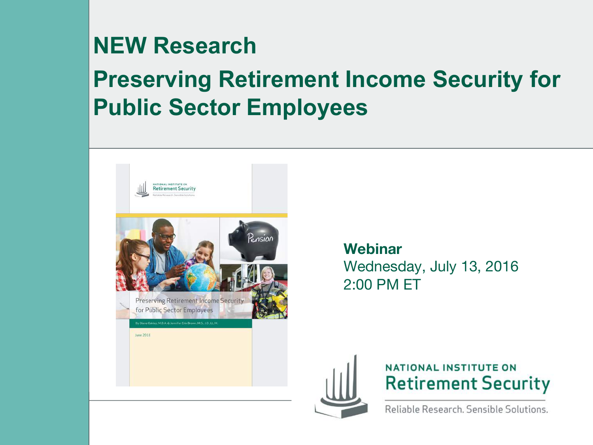#### **NEW Research**

#### **Preserving Retirement Income Security for Public Sector Employees**



**Webinar** Wednesday, July 13, 2016 2:00 PM ET





Reliable Research, Sensible Solutions.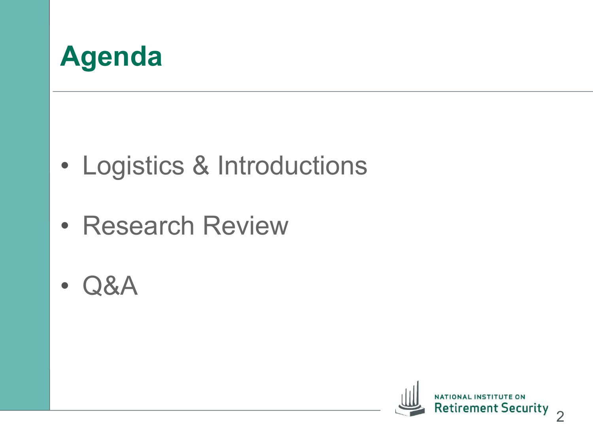

- Logistics & Introductions
- Research Review
- Q&A

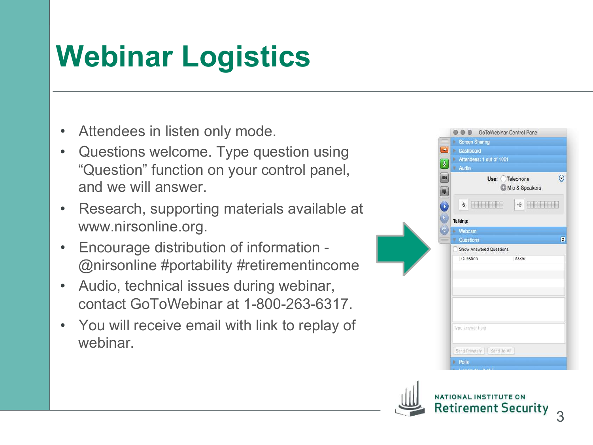# **Webinar Logistics**

- Attendees in listen only mode.
- Questions welcome. Type question using "Question" function on your control panel, and we will answer.
- Research, supporting materials available at www.nirsonline.org.
- Encourage distribution of information @nirsonline #portability #retirementincome
- Audio, technical issues during webinar, contact GoToWebinar at 1-800-263-6317.
- You will receive email with link to replay of webinar.



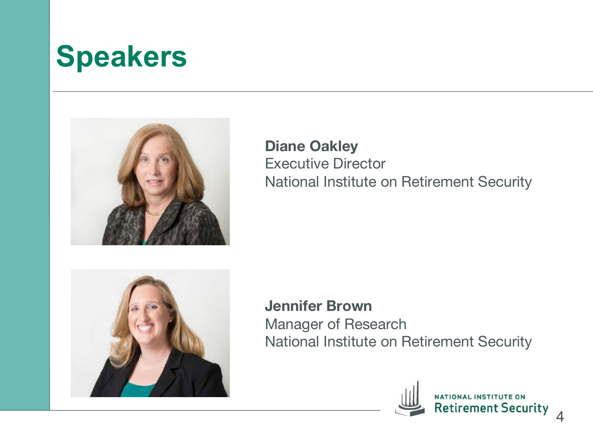## **Speakers**



**Diane Oakley** Executive Director National Institute on Retirement Security



**Jennifer Brown** Manager of Research National Institute on Retirement Security

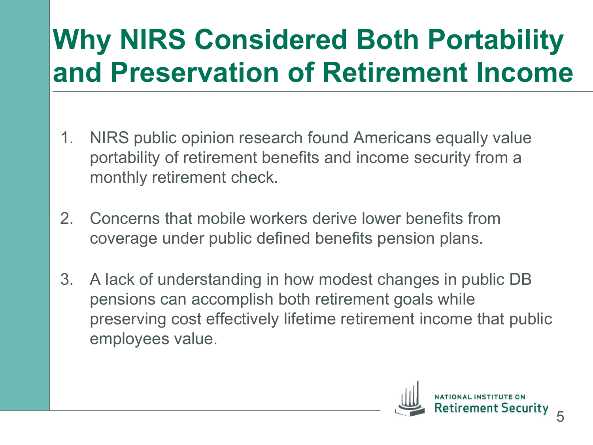## **Why NIRS Considered Both Portability and Preservation of Retirement Income**

- 1. NIRS public opinion research found Americans equally value portability of retirement benefits and income security from a monthly retirement check.
- 2. Concerns that mobile workers derive lower benefits from coverage under public defined benefits pension plans.
- 3. A lack of understanding in how modest changes in public DB pensions can accomplish both retirement goals while preserving cost effectively lifetime retirement income that public employees value.

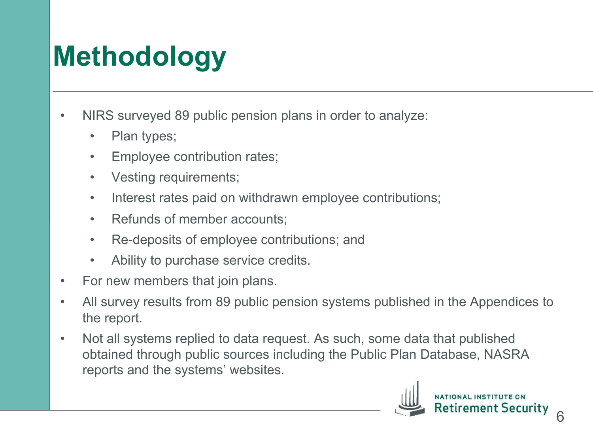## **Methodology**

- NIRS surveyed 89 public pension plans in order to analyze:
	- Plan types;
	- Employee contribution rates;
	- Vesting requirements;
	- Interest rates paid on withdrawn employee contributions;
	- Refunds of member accounts;
	- Re-deposits of employee contributions; and
	- Ability to purchase service credits.
- For new members that join plans.
- All survey results from 89 public pension systems published in the Appendices to the report.
- Not all systems replied to data request. As such, some data that published obtained through public sources including the Public Plan Database, NASRA reports and the systems' websites.

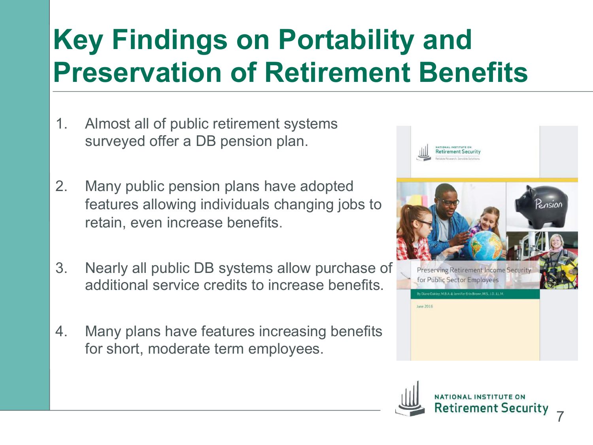## **Key Findings on Portability and Preservation of Retirement Benefits**

- 1. Almost all of public retirement systems surveyed offer a DB pension plan.
- 2. Many public pension plans have adopted features allowing individuals changing jobs to retain, even increase benefits.
- 3. Nearly all public DB systems allow purchase of additional service credits to increase benefits.
- 4. Many plans have features increasing benefits for short, moderate term employees.



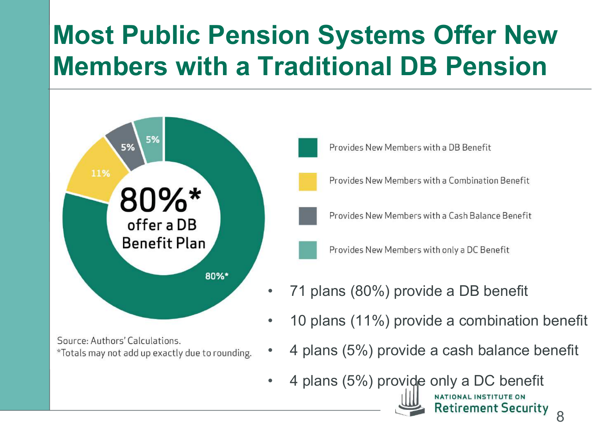### **Most Public Pension Systems Offer New Members with a Traditional DB Pension**



Source: Authors' Calculations. \*Totals may not add up exactly due to rounding.

- Provides New Members with a DB Benefit
- Provides New Members with a Combination Benefit
- Provides New Members with a Cash Balance Benefit

Provides New Members with only a DC Benefit

- 71 plans (80%) provide a DB benefit
- 10 plans (11%) provide a combination benefit
- 4 plans (5%) provide a cash balance benefit

NATIONAL INSTITUTE ON

**Retirement Security** 

• 4 plans (5%) provide only a DC benefit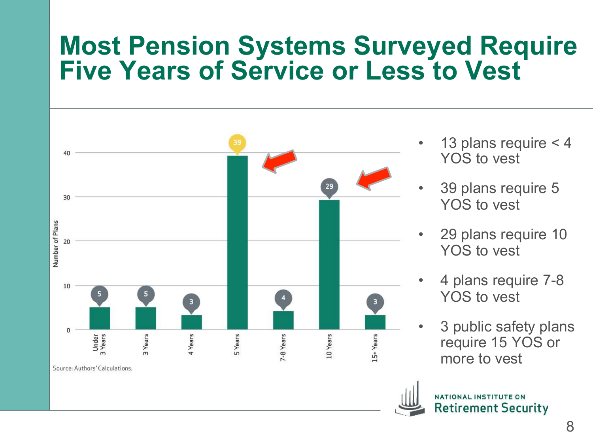#### **Most Pension Systems Surveyed Require Five Years of Service or Less to Vest**



- 13 plans require  $<$  4 YOS to vest
- 39 plans require 5 YOS to vest
- 29 plans require 10 YOS to vest
- 4 plans require 7-8 YOS to vest
- 3 public safety plans require 15 YOS or more to vest

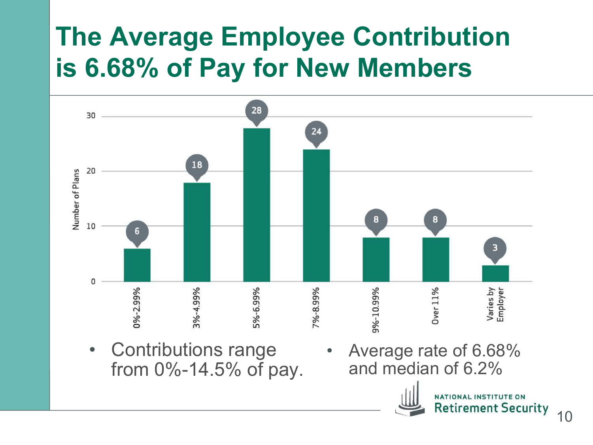### **The Average Employee Contribution is 6.68% of Pay for New Members**





NATIONAL INSTITUTE ON **Retirement Security**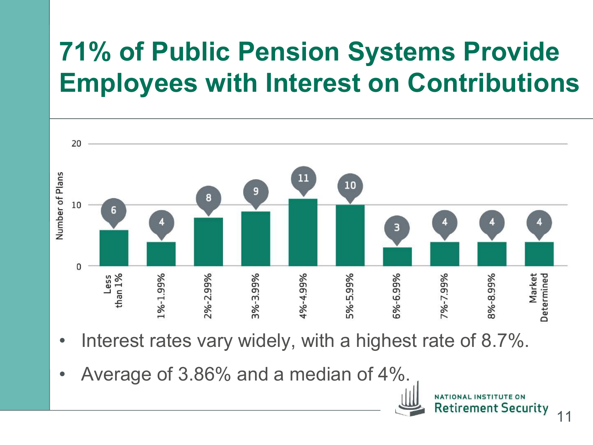## **71% of Public Pension Systems Provide Employees with Interest on Contributions**



- Interest rates vary widely, with a highest rate of 8.7%.
- Average of 3.86% and a median of 4%.

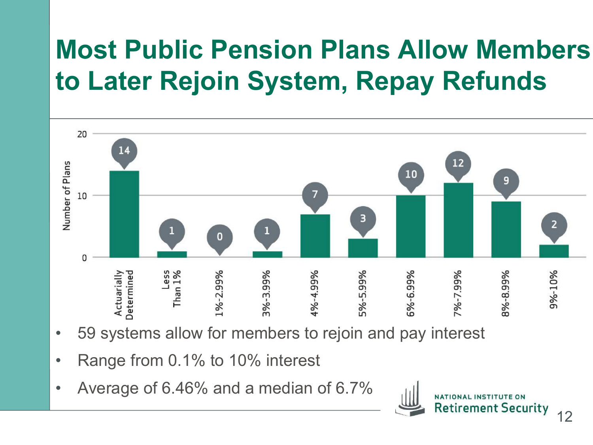### **Most Public Pension Plans Allow Members to Later Rejoin System, Repay Refunds**



- 59 systems allow for members to rejoin and pay interest
- Range from 0.1% to 10% interest
- Average of 6.46% and a median of 6.7%

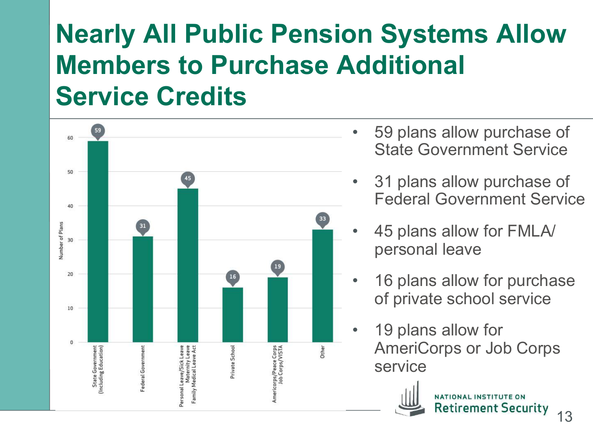### **Nearly All Public Pension Systems Allow Members to Purchase Additional Service Credits**



- 59 plans allow purchase of State Government Service
- 31 plans allow purchase of Federal Government Service
- 45 plans allow for FMLA/ personal leave
- 16 plans allow for purchase of private school service
- 19 plans allow for AmeriCorps or Job Corps service



**Retirement Security**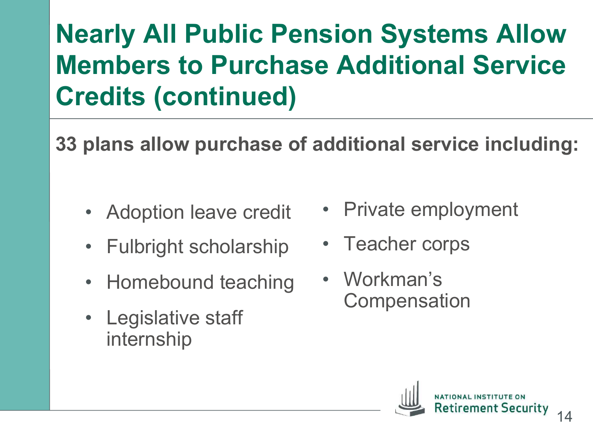## **Nearly All Public Pension Systems Allow Members to Purchase Additional Service Credits (continued)**

**33 plans allow purchase of additional service including:** 

- Adoption leave credit
- Fulbright scholarship
- Homebound teaching
- Legislative staff internship
- Private employment
- Teacher corps
- Workman's **Compensation**

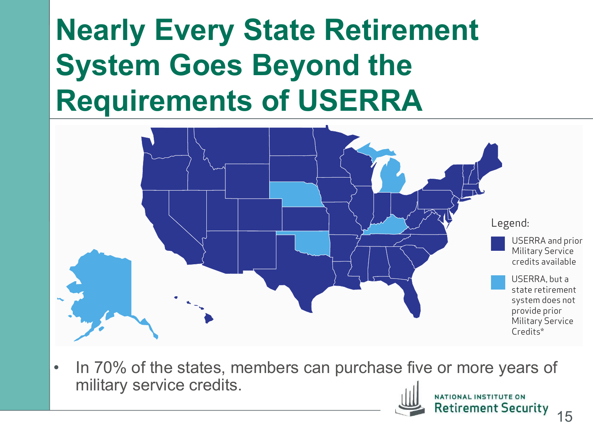#### **Nearly Every State Retirement System Goes Beyond the Requirements of USERRA** wang arong otalo nomomome<br>Svetam Goae Ravond tha



• In 70% of the states, members can purchase five or more years of military service credits. military service credits. This law was also the 1994 (USERRA) and Reemployment Rights Act of 1994 (USERRA). This law was also the 1994 (USERRA). This law was also the 1994 (USERRA). This law was also the 1994 (USERRA). Thi



NATIONAL INSTITUTE ON Retirement Security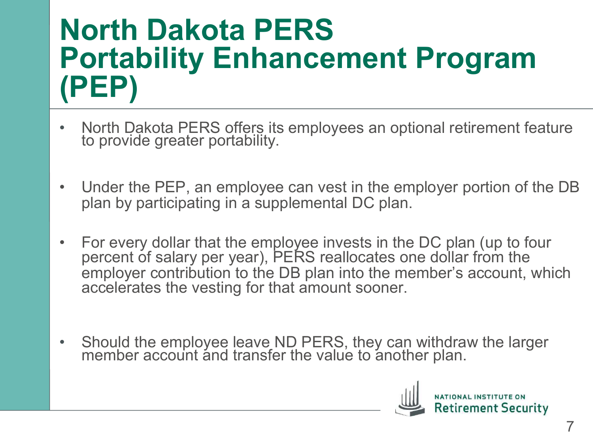## **North Dakota PERS Portability Enhancement Program (PEP)**

- North Dakota PERS offers its employees an optional retirement feature to provide greater portability.
- Under the PEP, an employee can vest in the employer portion of the DB plan by participating in a supplemental DC plan.
- For every dollar that the employee invests in the DC plan (up to four percent of salary per year), PERS reallocates one dollar from the employer contribution to the DB plan into the member's account, which accelerates the vesting for that amount sooner.
- Should the employee leave ND PERS, they can withdraw the larger member account and transfer the value to another plan.

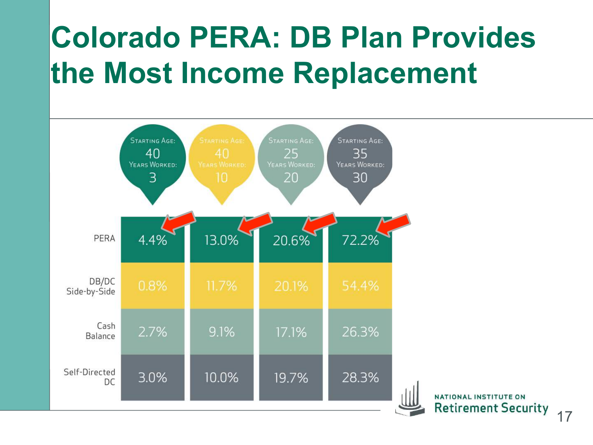# **Colorado PERA: DB Plan Provides the Most Income Replacement**



NATIONAL INSTITUTE ON **Retirement Security** 

17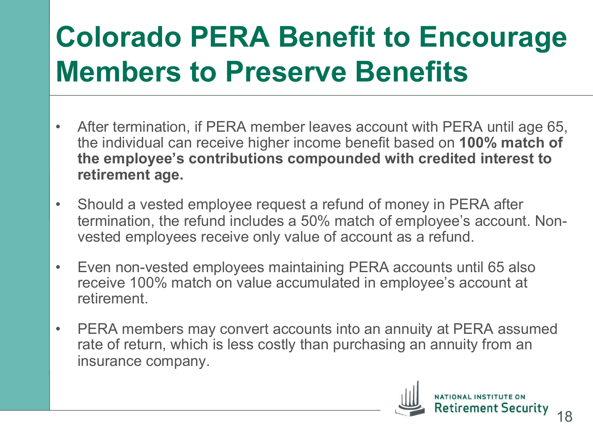## **Colorado PERA Benefit to Encourage Members to Preserve Benefits**

- After termination, if PERA member leaves account with PERA until age 65, the individual can receive higher income benefit based on **100% match of the employee's contributions compounded with credited interest to retirement age.**
- Should a vested employee request a refund of money in PERA after termination, the refund includes a 50% match of employee's account. Nonvested employees receive only value of account as a refund.
- Even non-vested employees maintaining PERA accounts until 65 also receive 100% match on value accumulated in employee's account at retirement.
- PERA members may convert accounts into an annuity at PERA assumed rate of return, which is less costly than purchasing an annuity from an insurance company.

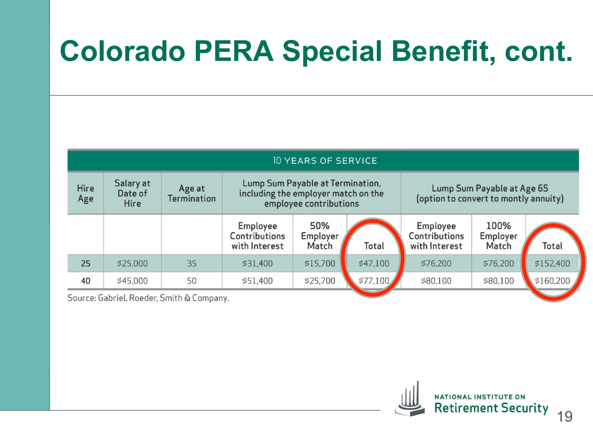## **Colorado PERA Special Benefit, cont.**

| <b>10 YEARS OF SERVICE</b> |                              |                              |                                                                                                   |                          |          |                                                                     |                           |           |  |  |  |  |
|----------------------------|------------------------------|------------------------------|---------------------------------------------------------------------------------------------------|--------------------------|----------|---------------------------------------------------------------------|---------------------------|-----------|--|--|--|--|
| Hire<br>Age                | Salary at<br>Date of<br>Hire | Age at<br><b>Termination</b> | Lump Sum Payable at Termination,<br>including the employer match on the<br>employee contributions |                          |          | Lump Sum Payable at Age 65<br>(option to convert to montly annuity) |                           |           |  |  |  |  |
|                            |                              |                              | Employee<br>Contributions<br>with Interest                                                        | 50%<br>Employer<br>Match | Total    | Employee<br>Contributions<br>with Interest                          | 100%<br>Employer<br>Match | Total     |  |  |  |  |
| 25                         | \$25,000                     | 35                           | \$31,400                                                                                          | \$15,700                 | \$47,100 | \$76,200                                                            | \$76,200                  | \$152,400 |  |  |  |  |
| 40                         | \$45,000                     | 50                           | \$51,400                                                                                          | \$25,700                 | \$77,100 | \$80,100                                                            | \$80,100                  | \$160,200 |  |  |  |  |

Source: Gabriel, Roeder, Smith & Company.

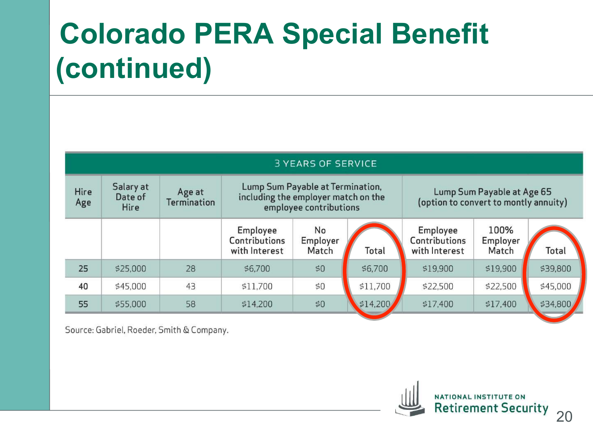# **Colorado PERA Special Benefit (continued)**

| <b>3 YEARS OF SERVICE</b> |                                     |                              |                                                                                                   |                         |          |                                                                     |                           |          |  |  |  |  |
|---------------------------|-------------------------------------|------------------------------|---------------------------------------------------------------------------------------------------|-------------------------|----------|---------------------------------------------------------------------|---------------------------|----------|--|--|--|--|
| Hire<br>Age               | Salary at<br>Date of<br><b>Hire</b> | Age at<br><b>Termination</b> | Lump Sum Payable at Termination,<br>including the employer match on the<br>employee contributions |                         |          | Lump Sum Payable at Age 65<br>(option to convert to montly annuity) |                           |          |  |  |  |  |
|                           |                                     |                              | Employee<br>Contributions<br>with Interest                                                        | No<br>Employer<br>Match | Total    | Employee<br>Contributions<br>with Interest                          | 100%<br>Employer<br>Match | Total    |  |  |  |  |
| 25                        | \$25,000                            | 28                           | \$6,700                                                                                           | \$0                     | \$6,700  | \$19,900                                                            | \$19,900                  | \$39,800 |  |  |  |  |
| 40                        | \$45,000                            | 43                           | \$11,700                                                                                          | \$0\$                   | \$11,700 | \$22,500                                                            | \$22,500                  | \$45,000 |  |  |  |  |
| 55                        | \$55,000                            | 58                           | \$14,200                                                                                          | \$0                     | \$14,200 | \$17,400                                                            | \$17,400                  | \$34,800 |  |  |  |  |

Source: Gabriel, Roeder, Smith & Company.

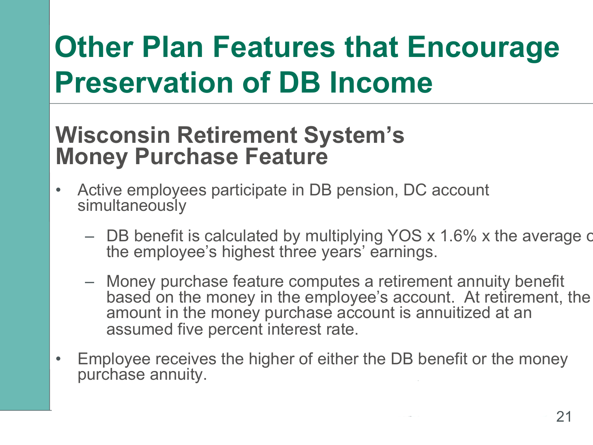# **Other Plan Features that Encourage Preservation of DB Income**

#### **Wisconsin Retirement System's Money Purchase Feature**

- Active employees participate in DB pension, DC account simultaneously
	- $-$  DB benefit is calculated by multiplying YOS x 1.6% x the average c the employee's highest three years' earnings.
	- Money purchase feature computes a retirement annuity benefit based on the money in the employee's account. At retirement, the amount in the money purchase account is annuitized at an assumed five percent interest rate.
- Employee receives the higher of either the DB benefit or the money purchase annuity.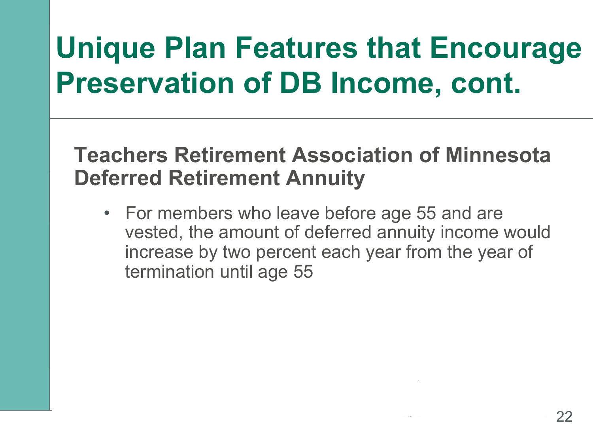## **Unique Plan Features that Encourage Preservation of DB Income, cont.**

#### **Teachers Retirement Association of Minnesota Deferred Retirement Annuity**

• For members who leave before age 55 and are vested, the amount of deferred annuity income would increase by two percent each year from the year of termination until age 55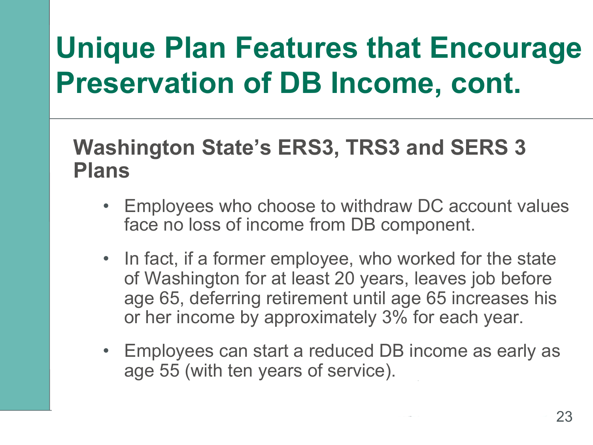## **Unique Plan Features that Encourage Preservation of DB Income, cont.**

#### **Washington State's ERS3, TRS3 and SERS 3 Plans**

- Employees who choose to withdraw DC account values face no loss of income from DB component.
- In fact, if a former employee, who worked for the state of Washington for at least 20 years, leaves job before age 65, deferring retirement until age 65 increases his or her income by approximately 3% for each year.
- Employees can start a reduced DB income as early as age 55 (with ten years of service).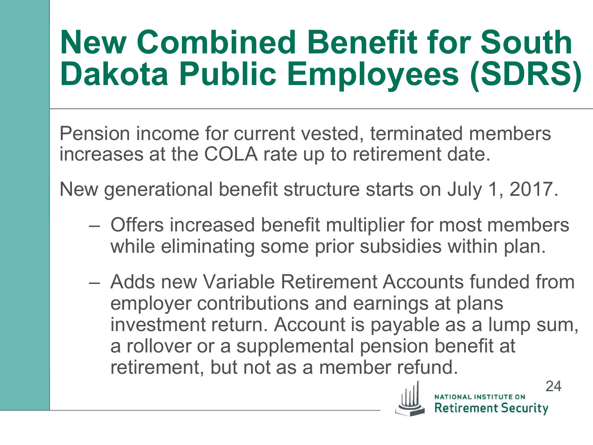# **New Combined Benefit for South Dakota Public Employees (SDRS)**

Pension income for current vested, terminated members increases at the COLA rate up to retirement date.

New generational benefit structure starts on July 1, 2017.

- Offers increased benefit multiplier for most members while eliminating some prior subsidies within plan.
- Adds new Variable Retirement Accounts funded from employer contributions and earnings at plans investment return. Account is payable as a lump sum, a rollover or a supplemental pension benefit at retirement, but not as a member refund.